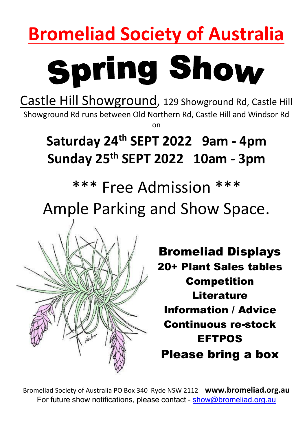## **Bromeliad Society of Australia**

# **Spring Show**

Castle Hill Showground, 129 Showground Rd, Castle Hill Showground Rd runs between Old Northern Rd, Castle Hill and Windsor Rd on

## **Saturday 24 th SEPT 2022 9am - 4pm Sunday 25 th SEPT 2022 10am - 3pm**

\*\*\* Free Admission \*\*\*

Ample Parking and Show Space.



Bromeliad Displays 20+ Plant Sales tables Competition **Literature** Information / Advice Continuous re-stock EFTPOS Please bring a box

Bromeliad Society of Australia PO Box 340 Ryde NSW 2112 **www.bromeliad.org.au** For future show notifications, please contact - [show@bromeliad.org.au](mailto:show@bromeliad.org.au)